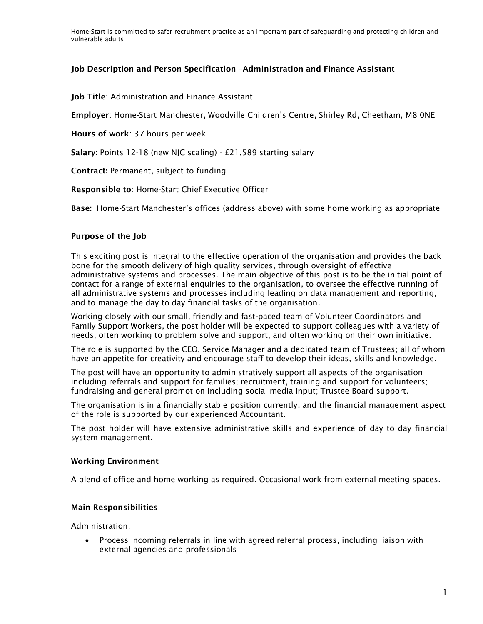Home-Start is committed to safer recruitment practice as an important part of safeguarding and protecting children and vulnerable adults

### Job Description and Person Specification –Administration and Finance Assistant

Job Title: Administration and Finance Assistant

Employer: Home-Start Manchester, Woodville Children's Centre, Shirley Rd, Cheetham, M8 0NE

Hours of work: 37 hours per week

Salary: Points 12-18 (new NJC scaling) - £21,589 starting salary

Contract: Permanent, subject to funding

Responsible to: Home-Start Chief Executive Officer

Base: Home-Start Manchester's offices (address above) with some home working as appropriate

### Purpose of the Job

This exciting post is integral to the effective operation of the organisation and provides the back bone for the smooth delivery of high quality services, through oversight of effective administrative systems and processes. The main objective of this post is to be the initial point of contact for a range of external enquiries to the organisation, to oversee the effective running of all administrative systems and processes including leading on data management and reporting, and to manage the day to day financial tasks of the organisation.

Working closely with our small, friendly and fast-paced team of Volunteer Coordinators and Family Support Workers, the post holder will be expected to support colleagues with a variety of needs, often working to problem solve and support, and often working on their own initiative.

The role is supported by the CEO, Service Manager and a dedicated team of Trustees; all of whom have an appetite for creativity and encourage staff to develop their ideas, skills and knowledge.

The post will have an opportunity to administratively support all aspects of the organisation including referrals and support for families; recruitment, training and support for volunteers; fundraising and general promotion including social media input; Trustee Board support.

The organisation is in a financially stable position currently, and the financial management aspect of the role is supported by our experienced Accountant.

The post holder will have extensive administrative skills and experience of day to day financial system management.

#### Working Environment

A blend of office and home working as required. Occasional work from external meeting spaces.

### Main Responsibilities

Administration:

 Process incoming referrals in line with agreed referral process, including liaison with external agencies and professionals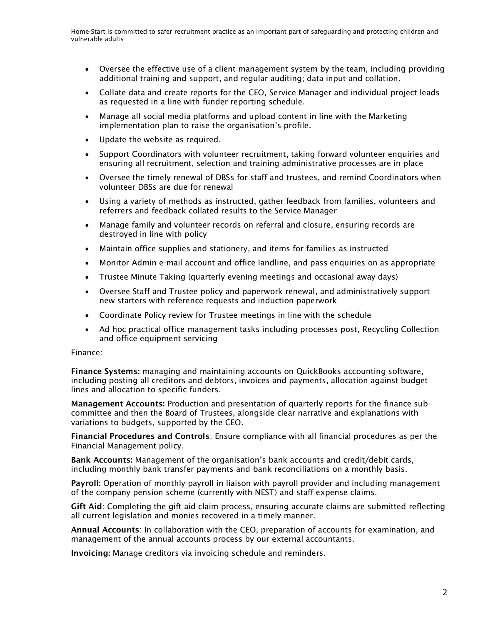- Oversee the effective use of a client management system by the team, including providing additional training and support, and regular auditing; data input and collation.
- Collate data and create reports for the CEO, Service Manager and individual project leads as requested in a line with funder reporting schedule.
- Manage all social media platforms and upload content in line with the Marketing implementation plan to raise the organisation's profile.
- Update the website as required.
- Support Coordinators with volunteer recruitment, taking forward volunteer enquiries and ensuring all recruitment, selection and training administrative processes are in place
- Oversee the timely renewal of DBSs for staff and trustees, and remind Coordinators when volunteer DBSs are due for renewal
- Using a variety of methods as instructed, gather feedback from families, volunteers and referrers and feedback collated results to the Service Manager
- Manage family and volunteer records on referral and closure, ensuring records are destroyed in line with policy
- Maintain office supplies and stationery, and items for families as instructed
- Monitor Admin e-mail account and office landline, and pass enquiries on as appropriate
- Trustee Minute Taking (quarterly evening meetings and occasional away days)
- Oversee Staff and Trustee policy and paperwork renewal, and administratively support new starters with reference requests and induction paperwork
- Coordinate Policy review for Trustee meetings in line with the schedule
- Ad hoc practical office management tasks including processes post, Recycling Collection and office equipment servicing

Finance:

Finance Systems: managing and maintaining accounts on QuickBooks accounting software, including posting all creditors and debtors, invoices and payments, allocation against budget lines and allocation to specific funders.

Management Accounts: Production and presentation of quarterly reports for the finance subcommittee and then the Board of Trustees, alongside clear narrative and explanations with variations to budgets, supported by the CEO.

Financial Procedures and Controls: Ensure compliance with all financial procedures as per the Financial Management policy.

Bank Accounts: Management of the organisation's bank accounts and credit/debit cards, including monthly bank transfer payments and bank reconciliations on a monthly basis.

Payroll: Operation of monthly payroll in liaison with payroll provider and including management of the company pension scheme (currently with NEST) and staff expense claims.

Gift Aid: Completing the gift aid claim process, ensuring accurate claims are submitted reflecting all current legislation and monies recovered in a timely manner.

Annual Accounts: In collaboration with the CEO, preparation of accounts for examination, and management of the annual accounts process by our external accountants.

Invoicing: Manage creditors via invoicing schedule and reminders.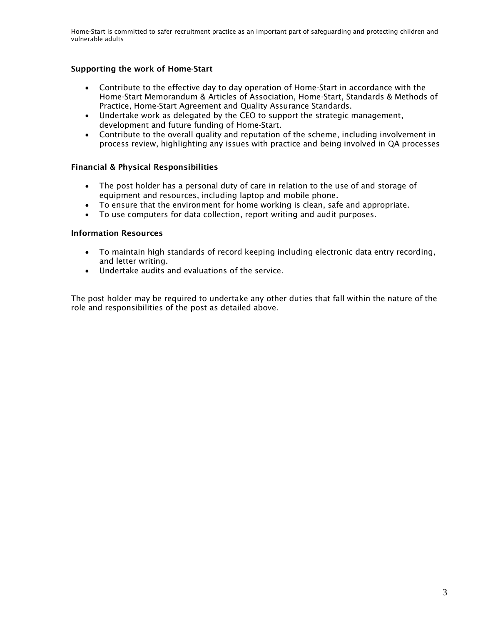Home-Start is committed to safer recruitment practice as an important part of safeguarding and protecting children and vulnerable adults

## Supporting the work of Home-Start

- Contribute to the effective day to day operation of Home-Start in accordance with the Home-Start Memorandum & Articles of Association, Home-Start, Standards & Methods of Practice, Home-Start Agreement and Quality Assurance Standards.
- Undertake work as delegated by the CEO to support the strategic management, development and future funding of Home-Start.
- Contribute to the overall quality and reputation of the scheme, including involvement in process review, highlighting any issues with practice and being involved in QA processes

### Financial & Physical Responsibilities

- The post holder has a personal duty of care in relation to the use of and storage of equipment and resources, including laptop and mobile phone.
- To ensure that the environment for home working is clean, safe and appropriate.
- To use computers for data collection, report writing and audit purposes.

### Information Resources

- To maintain high standards of record keeping including electronic data entry recording, and letter writing.
- Undertake audits and evaluations of the service.

The post holder may be required to undertake any other duties that fall within the nature of the role and responsibilities of the post as detailed above.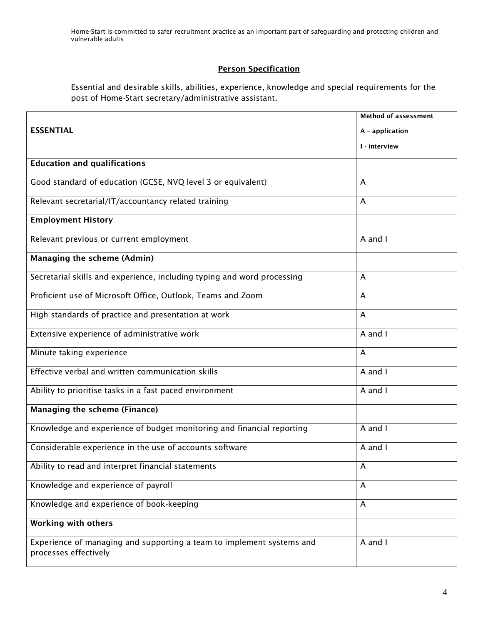Home-Start is committed to safer recruitment practice as an important part of safeguarding and protecting children and vulnerable adults

# Person Specification

Essential and desirable skills, abilities, experience, knowledge and special requirements for the post of Home-Start secretary/administrative assistant.

|                                                                                                | <b>Method of assessment</b> |
|------------------------------------------------------------------------------------------------|-----------------------------|
| <b>ESSENTIAL</b>                                                                               | A - application             |
|                                                                                                | I - interview               |
| <b>Education and qualifications</b>                                                            |                             |
|                                                                                                |                             |
| Good standard of education (GCSE, NVQ level 3 or equivalent)                                   | A                           |
| Relevant secretarial/IT/accountancy related training                                           | A                           |
| <b>Employment History</b>                                                                      |                             |
| Relevant previous or current employment                                                        | A and I                     |
| Managing the scheme (Admin)                                                                    |                             |
| Secretarial skills and experience, including typing and word processing                        | A                           |
| Proficient use of Microsoft Office, Outlook, Teams and Zoom                                    | A                           |
| High standards of practice and presentation at work                                            | A                           |
| Extensive experience of administrative work                                                    | A and I                     |
| Minute taking experience                                                                       | A                           |
| Effective verbal and written communication skills                                              | A and I                     |
| Ability to prioritise tasks in a fast paced environment                                        | A and I                     |
| <b>Managing the scheme (Finance)</b>                                                           |                             |
| Knowledge and experience of budget monitoring and financial reporting                          | A and I                     |
| Considerable experience in the use of accounts software                                        | A and I                     |
| Ability to read and interpret financial statements                                             | A                           |
| Knowledge and experience of payroll                                                            | A                           |
| Knowledge and experience of book-keeping                                                       | A                           |
| <b>Working with others</b>                                                                     |                             |
| Experience of managing and supporting a team to implement systems and<br>processes effectively | A and I                     |